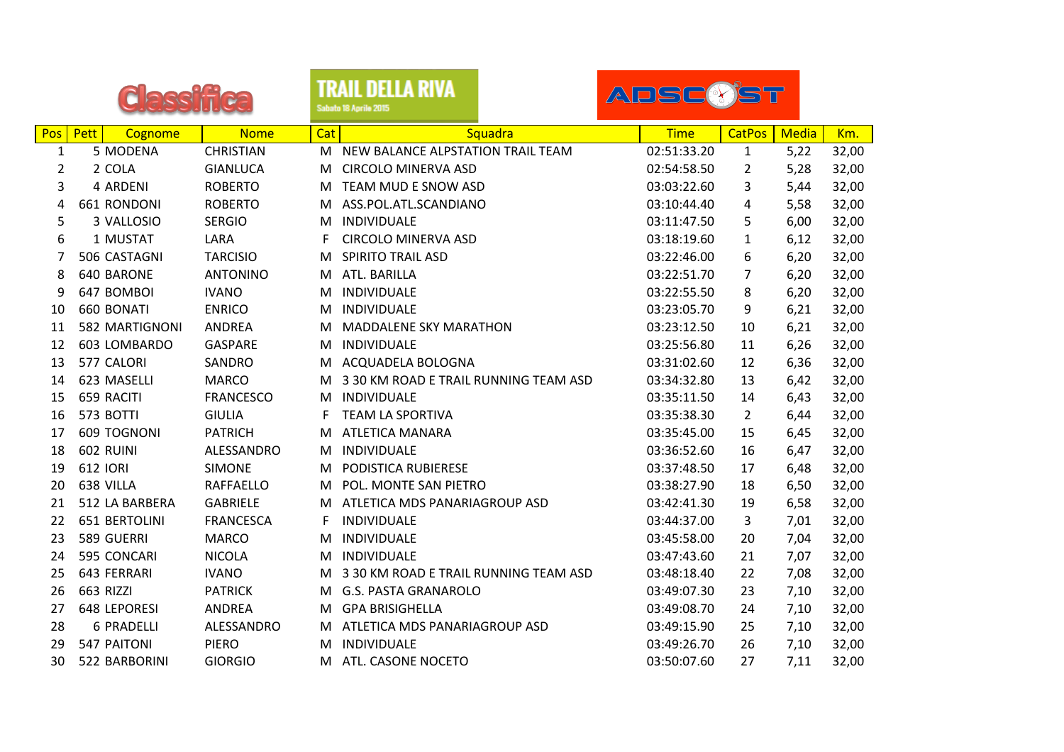|                |           |                     |                  |     | TRAIL DELLA RIVA<br>Sabato 18 Aprile 2015 | ADSC(Y)ST   |                |              |       |
|----------------|-----------|---------------------|------------------|-----|-------------------------------------------|-------------|----------------|--------------|-------|
| Pos            | Pett      | Cognome             | <b>Nome</b>      | Cat | Squadra                                   | <b>Time</b> | <b>CatPos</b>  | <b>Media</b> | Km.   |
| $\mathbf{1}$   |           | 5 MODENA            | <b>CHRISTIAN</b> | M   | NEW BALANCE ALPSTATION TRAIL TEAM         | 02:51:33.20 | $\mathbf{1}$   | 5,22         | 32,00 |
| $\overline{2}$ |           | 2 COLA              | <b>GIANLUCA</b>  | M   | <b>CIRCOLO MINERVA ASD</b>                | 02:54:58.50 | 2              | 5,28         | 32,00 |
| 3              |           | 4 ARDENI            | <b>ROBERTO</b>   | м   | TEAM MUD E SNOW ASD                       | 03:03:22.60 | 3              | 5,44         | 32,00 |
| 4              |           | 661 RONDONI         | <b>ROBERTO</b>   | М   | ASS.POL.ATL.SCANDIANO                     | 03:10:44.40 | 4              | 5,58         | 32,00 |
| 5              |           | 3 VALLOSIO          | <b>SERGIO</b>    | M   | INDIVIDUALE                               | 03:11:47.50 | 5              | 6,00         | 32,00 |
| 6              |           | 1 MUSTAT            | LARA             | F   | <b>CIRCOLO MINERVA ASD</b>                | 03:18:19.60 | 1              | 6,12         | 32,00 |
| 7              |           | 506 CASTAGNI        | <b>TARCISIO</b>  | M   | <b>SPIRITO TRAIL ASD</b>                  | 03:22:46.00 | 6              | 6,20         | 32,00 |
| 8              |           | 640 BARONE          | <b>ANTONINO</b>  | М   | ATL. BARILLA                              | 03:22:51.70 | $\overline{7}$ | 6,20         | 32,00 |
| 9              |           | 647 BOMBOI          | <b>IVANO</b>     | М   | INDIVIDUALE                               | 03:22:55.50 | 8              | 6,20         | 32,00 |
| 10             |           | 660 BONATI          | <b>ENRICO</b>    | M   | INDIVIDUALE                               | 03:23:05.70 | 9              | 6,21         | 32,00 |
| 11             |           | 582 MARTIGNONI      | <b>ANDREA</b>    | м   | <b>MADDALENE SKY MARATHON</b>             | 03:23:12.50 | 10             | 6,21         | 32,00 |
| 12             |           | 603 LOMBARDO        | <b>GASPARE</b>   | м   | INDIVIDUALE                               | 03:25:56.80 | 11             | 6,26         | 32,00 |
| 13             |           | 577 CALORI          | SANDRO           | М   | ACQUADELA BOLOGNA                         | 03:31:02.60 | 12             | 6,36         | 32,00 |
| 14             |           | 623 MASELLI         | <b>MARCO</b>     | M   | 3 30 KM ROAD E TRAIL RUNNING TEAM ASD     | 03:34:32.80 | 13             | 6,42         | 32,00 |
| 15             |           | 659 RACITI          | <b>FRANCESCO</b> | M   | INDIVIDUALE                               | 03:35:11.50 | 14             | 6,43         | 32,00 |
| 16             | 573 BOTTI |                     | <b>GIULIA</b>    | F   | <b>TEAM LA SPORTIVA</b>                   | 03:35:38.30 | 2              | 6,44         | 32,00 |
| 17             |           | 609 TOGNONI         | <b>PATRICH</b>   | М   | <b>ATLETICA MANARA</b>                    | 03:35:45.00 | 15             | 6,45         | 32,00 |
| 18             | 602 RUINI |                     | ALESSANDRO       | М   | INDIVIDUALE                               | 03:36:52.60 | 16             | 6,47         | 32,00 |
| 19             | 612 IORI  |                     | <b>SIMONE</b>    | M   | PODISTICA RUBIERESE                       | 03:37:48.50 | 17             | 6,48         | 32,00 |
| 20             | 638 VILLA |                     | <b>RAFFAELLO</b> | M   | POL. MONTE SAN PIETRO                     | 03:38:27.90 | 18             | 6,50         | 32,00 |
| 21             |           | 512 LA BARBERA      | <b>GABRIELE</b>  | М   | ATLETICA MDS PANARIAGROUP ASD             | 03:42:41.30 | 19             | 6,58         | 32,00 |
| 22             |           | 651 BERTOLINI       | <b>FRANCESCA</b> | F   | INDIVIDUALE                               | 03:44:37.00 | 3              | 7,01         | 32,00 |
| 23             |           | 589 GUERRI          | <b>MARCO</b>     | м   | INDIVIDUALE                               | 03:45:58.00 | 20             | 7,04         | 32,00 |
| 24             |           | 595 CONCARI         | <b>NICOLA</b>    | M   | INDIVIDUALE                               | 03:47:43.60 | 21             | 7,07         | 32,00 |
| 25             |           | 643 FERRARI         | <b>IVANO</b>     | м   | 3 30 KM ROAD E TRAIL RUNNING TEAM ASD     | 03:48:18.40 | 22             | 7,08         | 32,00 |
| 26             | 663 RIZZI |                     | <b>PATRICK</b>   | М   | <b>G.S. PASTA GRANAROLO</b>               | 03:49:07.30 | 23             | 7,10         | 32,00 |
| 27             |           | <b>648 LEPORESI</b> | ANDREA           | м   | <b>GPA BRISIGHELLA</b>                    | 03:49:08.70 | 24             | 7,10         | 32,00 |
| 28             |           | <b>6 PRADELLI</b>   | ALESSANDRO       | M   | ATLETICA MDS PANARIAGROUP ASD             | 03:49:15.90 | 25             | 7,10         | 32,00 |
| 29             |           | 547 PAITONI         | <b>PIERO</b>     | м   | INDIVIDUALE                               | 03:49:26.70 | 26             | 7,10         | 32,00 |
| 30             |           | 522 BARBORINI       | <b>GIORGIO</b>   | М   | ATL. CASONE NOCETO                        | 03:50:07.60 | 27             | 7,11         | 32,00 |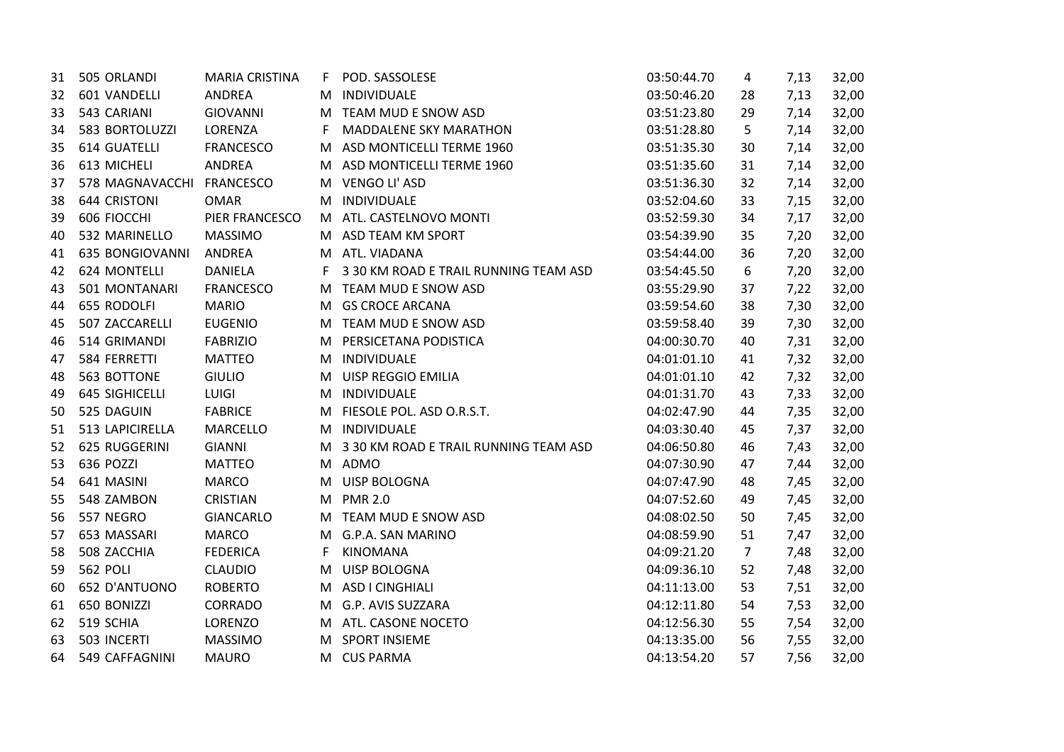| 31 | 505 ORLANDI               | <b>MARIA CRISTINA</b> | F. | POD. SASSOLESE                        | 03:50:44.70 | 4              | 7,13 | 32,00 |
|----|---------------------------|-----------------------|----|---------------------------------------|-------------|----------------|------|-------|
| 32 | 601 VANDELLI              | ANDREA                | M  | INDIVIDUALE                           | 03:50:46.20 | 28             | 7,13 | 32,00 |
| 33 | 543 CARIANI               | GIOVANNI              | M  | TEAM MUD E SNOW ASD                   | 03:51:23.80 | 29             | 7,14 | 32,00 |
| 34 | 583 BORTOLUZZI            | LORENZA               | F. | <b>MADDALENE SKY MARATHON</b>         | 03:51:28.80 | 5              | 7,14 | 32,00 |
| 35 | <b>614 GUATELLI</b>       | <b>FRANCESCO</b>      | M  | ASD MONTICELLI TERME 1960             | 03:51:35.30 | 30             | 7,14 | 32,00 |
| 36 | 613 MICHELI               | ANDREA                |    | M ASD MONTICELLI TERME 1960           | 03:51:35.60 | 31             | 7,14 | 32,00 |
| 37 | 578 MAGNAVACCHI FRANCESCO |                       | M. | VENGO LI' ASD                         | 03:51:36.30 | 32             | 7,14 | 32,00 |
| 38 | 644 CRISTONI              | <b>OMAR</b>           | M  | INDIVIDUALE                           | 03:52:04.60 | 33             | 7,15 | 32,00 |
| 39 | 606 FIOCCHI               | PIER FRANCESCO        |    | M ATL. CASTELNOVO MONTI               | 03:52:59.30 | 34             | 7,17 | 32,00 |
| 40 | 532 MARINELLO             | <b>MASSIMO</b>        |    | M ASD TEAM KM SPORT                   | 03:54:39.90 | 35             | 7,20 | 32,00 |
| 41 | <b>635 BONGIOVANNI</b>    | <b>ANDREA</b>         |    | M ATL. VIADANA                        | 03:54:44.00 | 36             | 7,20 | 32,00 |
| 42 | <b>624 MONTELLI</b>       | <b>DANIELA</b>        | F. | 3 30 KM ROAD E TRAIL RUNNING TEAM ASD | 03:54:45.50 | 6              | 7,20 | 32,00 |
| 43 | 501 MONTANARI             | <b>FRANCESCO</b>      | M. | TEAM MUD E SNOW ASD                   | 03:55:29.90 | 37             | 7,22 | 32,00 |
| 44 | 655 RODOLFI               | <b>MARIO</b>          | M  | <b>GS CROCE ARCANA</b>                | 03:59:54.60 | 38             | 7,30 | 32,00 |
| 45 | 507 ZACCARELLI            | <b>EUGENIO</b>        | M  | TEAM MUD E SNOW ASD                   | 03:59:58.40 | 39             | 7,30 | 32,00 |
| 46 | 514 GRIMANDI              | <b>FABRIZIO</b>       | M  | PERSICETANA PODISTICA                 | 04:00:30.70 | 40             | 7,31 | 32,00 |
| 47 | 584 FERRETTI              | <b>MATTEO</b>         | M  | INDIVIDUALE                           | 04:01:01.10 | 41             | 7,32 | 32,00 |
| 48 | 563 BOTTONE               | <b>GIULIO</b>         | M  | UISP REGGIO EMILIA                    | 04:01:01.10 | 42             | 7,32 | 32,00 |
| 49 | 645 SIGHICELLI            | LUIGI                 | M  | INDIVIDUALE                           | 04:01:31.70 | 43             | 7,33 | 32,00 |
| 50 | 525 DAGUIN                | <b>FABRICE</b>        |    | M FIESOLE POL. ASD O.R.S.T.           | 04:02:47.90 | 44             | 7,35 | 32,00 |
| 51 | 513 LAPICIRELLA           | MARCELLO              |    | M INDIVIDUALE                         | 04:03:30.40 | 45             | 7,37 | 32,00 |
| 52 | 625 RUGGERINI             | <b>GIANNI</b>         | M. | 3 30 KM ROAD E TRAIL RUNNING TEAM ASD | 04:06:50.80 | 46             | 7,43 | 32,00 |
| 53 | 636 POZZI                 | <b>MATTEO</b>         |    | M ADMO                                | 04:07:30.90 | 47             | 7,44 | 32,00 |
| 54 | 641 MASINI                | <b>MARCO</b>          |    | M UISP BOLOGNA                        | 04:07:47.90 | 48             | 7,45 | 32,00 |
| 55 | 548 ZAMBON                | <b>CRISTIAN</b>       | M  | <b>PMR 2.0</b>                        | 04:07:52.60 | 49             | 7,45 | 32,00 |
| 56 | 557 NEGRO                 | <b>GIANCARLO</b>      | M  | TEAM MUD E SNOW ASD                   | 04:08:02.50 | 50             | 7,45 | 32,00 |
| 57 | 653 MASSARI               | <b>MARCO</b>          | M  | G.P.A. SAN MARINO                     | 04:08:59.90 | 51             | 7,47 | 32,00 |
| 58 | 508 ZACCHIA               | <b>FEDERICA</b>       | F  | <b>KINOMANA</b>                       | 04:09:21.20 | $\overline{7}$ | 7,48 | 32,00 |
| 59 | <b>562 POLI</b>           | <b>CLAUDIO</b>        | M  | <b>UISP BOLOGNA</b>                   | 04:09:36.10 | 52             | 7,48 | 32,00 |
| 60 | 652 D'ANTUONO             | <b>ROBERTO</b>        |    | M ASD I CINGHIALI                     | 04:11:13.00 | 53             | 7,51 | 32,00 |
| 61 | 650 BONIZZI               | <b>CORRADO</b>        | M  | G.P. AVIS SUZZARA                     | 04:12:11.80 | 54             | 7,53 | 32,00 |
| 62 | 519 SCHIA                 | LORENZO               |    | M ATL. CASONE NOCETO                  | 04:12:56.30 | 55             | 7,54 | 32,00 |
| 63 | 503 INCERTI               | <b>MASSIMO</b>        | M  | <b>SPORT INSIEME</b>                  | 04:13:35.00 | 56             | 7,55 | 32,00 |
| 64 | 549 CAFFAGNINI            | <b>MAURO</b>          |    | M CUS PARMA                           | 04:13:54.20 | 57             | 7,56 | 32,00 |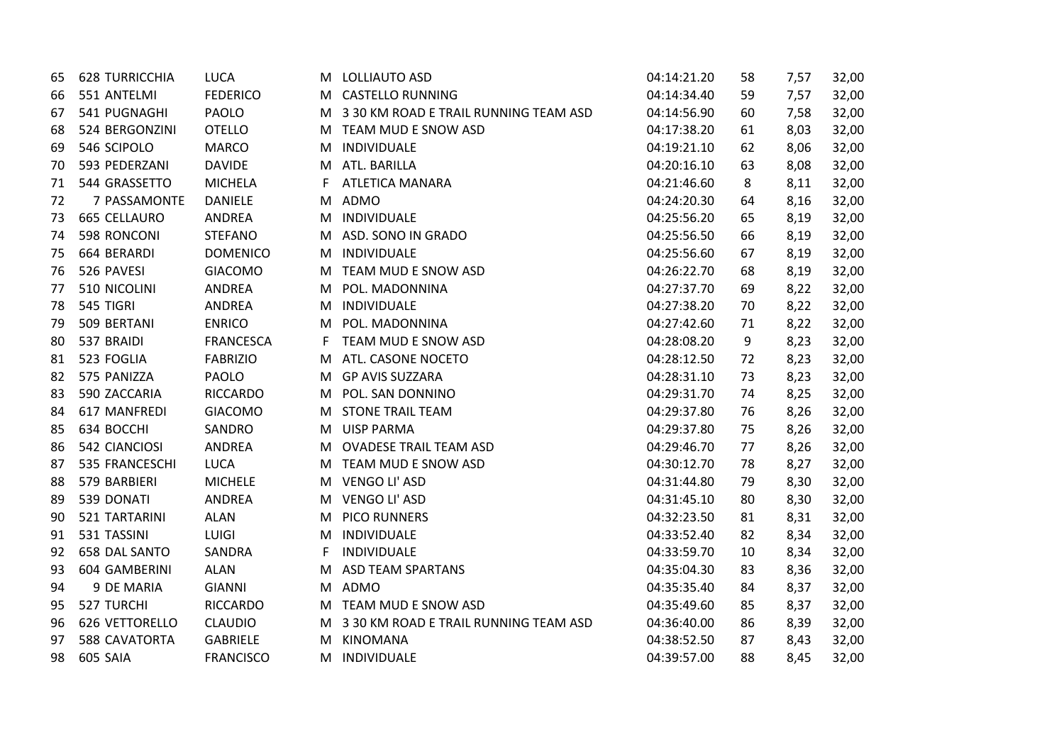| 65 | <b>628 TURRICCHIA</b> | <b>LUCA</b>      | M  | LOLLIAUTO ASD                           | 04:14:21.20 | 58 | 7,57 | 32,00 |
|----|-----------------------|------------------|----|-----------------------------------------|-------------|----|------|-------|
| 66 | 551 ANTELMI           | <b>FEDERICO</b>  |    | M CASTELLO RUNNING                      | 04:14:34.40 | 59 | 7,57 | 32,00 |
| 67 | 541 PUGNAGHI          | PAOLO            |    | M 3 30 KM ROAD E TRAIL RUNNING TEAM ASD | 04:14:56.90 | 60 | 7,58 | 32,00 |
| 68 | 524 BERGONZINI        | <b>OTELLO</b>    |    | M TEAM MUD E SNOW ASD                   | 04:17:38.20 | 61 | 8,03 | 32,00 |
| 69 | 546 SCIPOLO           | <b>MARCO</b>     |    | M INDIVIDUALE                           | 04:19:21.10 | 62 | 8,06 | 32,00 |
| 70 | 593 PEDERZANI         | <b>DAVIDE</b>    | M  | ATL. BARILLA                            | 04:20:16.10 | 63 | 8,08 | 32,00 |
| 71 | 544 GRASSETTO         | <b>MICHELA</b>   | F. | <b>ATLETICA MANARA</b>                  | 04:21:46.60 | 8  | 8,11 | 32,00 |
| 72 | 7 PASSAMONTE          | <b>DANIELE</b>   | M  | ADMO                                    | 04:24:20.30 | 64 | 8,16 | 32,00 |
| 73 | 665 CELLAURO          | ANDREA           | M  | INDIVIDUALE                             | 04:25:56.20 | 65 | 8,19 | 32,00 |
| 74 | 598 RONCONI           | <b>STEFANO</b>   |    | M ASD. SONO IN GRADO                    | 04:25:56.50 | 66 | 8,19 | 32,00 |
| 75 | 664 BERARDI           | <b>DOMENICO</b>  |    | M INDIVIDUALE                           | 04:25:56.60 | 67 | 8,19 | 32,00 |
| 76 | 526 PAVESI            | <b>GIACOMO</b>   |    | M TEAM MUD E SNOW ASD                   | 04:26:22.70 | 68 | 8,19 | 32,00 |
| 77 | 510 NICOLINI          | ANDREA           |    | M POL. MADONNINA                        | 04:27:37.70 | 69 | 8,22 | 32,00 |
| 78 | 545 TIGRI             | ANDREA           | M  | INDIVIDUALE                             | 04:27:38.20 | 70 | 8,22 | 32,00 |
| 79 | 509 BERTANI           | <b>ENRICO</b>    | M  | POL. MADONNINA                          | 04:27:42.60 | 71 | 8,22 | 32,00 |
| 80 | 537 BRAIDI            | <b>FRANCESCA</b> | F. | TEAM MUD E SNOW ASD                     | 04:28:08.20 | 9  | 8,23 | 32,00 |
| 81 | 523 FOGLIA            | <b>FABRIZIO</b>  | M  | ATL. CASONE NOCETO                      | 04:28:12.50 | 72 | 8,23 | 32,00 |
| 82 | 575 PANIZZA           | <b>PAOLO</b>     | M  | <b>GP AVIS SUZZARA</b>                  | 04:28:31.10 | 73 | 8,23 | 32,00 |
| 83 | 590 ZACCARIA          | <b>RICCARDO</b>  | M  | POL. SAN DONNINO                        | 04:29:31.70 | 74 | 8,25 | 32,00 |
| 84 | 617 MANFREDI          | <b>GIACOMO</b>   |    | M STONE TRAIL TEAM                      | 04:29:37.80 | 76 | 8,26 | 32,00 |
| 85 | 634 BOCCHI            | SANDRO           |    | M UISP PARMA                            | 04:29:37.80 | 75 | 8,26 | 32,00 |
| 86 | 542 CIANCIOSI         | ANDREA           |    | M OVADESE TRAIL TEAM ASD                | 04:29:46.70 | 77 | 8,26 | 32,00 |
| 87 | 535 FRANCESCHI        | <b>LUCA</b>      |    | M TEAM MUD E SNOW ASD                   | 04:30:12.70 | 78 | 8,27 | 32,00 |
| 88 | 579 BARBIERI          | <b>MICHELE</b>   |    | M VENGO LI' ASD                         | 04:31:44.80 | 79 | 8,30 | 32,00 |
| 89 | 539 DONATI            | ANDREA           |    | M VENGO LI' ASD                         | 04:31:45.10 | 80 | 8,30 | 32,00 |
| 90 | 521 TARTARINI         | <b>ALAN</b>      | M  | <b>PICO RUNNERS</b>                     | 04:32:23.50 | 81 | 8,31 | 32,00 |
| 91 | 531 TASSINI           | LUIGI            | M  | INDIVIDUALE                             | 04:33:52.40 | 82 | 8,34 | 32,00 |
| 92 | 658 DAL SANTO         | SANDRA           | F. | INDIVIDUALE                             | 04:33:59.70 | 10 | 8,34 | 32,00 |
| 93 | 604 GAMBERINI         | <b>ALAN</b>      | M  | <b>ASD TEAM SPARTANS</b>                | 04:35:04.30 | 83 | 8,36 | 32,00 |
| 94 | 9 DE MARIA            | <b>GIANNI</b>    |    | M ADMO                                  | 04:35:35.40 | 84 | 8,37 | 32,00 |
| 95 | 527 TURCHI            | <b>RICCARDO</b>  |    | M TEAM MUD E SNOW ASD                   | 04:35:49.60 | 85 | 8,37 | 32,00 |
| 96 | 626 VETTORELLO        | <b>CLAUDIO</b>   |    | M 3 30 KM ROAD E TRAIL RUNNING TEAM ASD | 04:36:40.00 | 86 | 8,39 | 32,00 |
| 97 | 588 CAVATORTA         | <b>GABRIELE</b>  | M  | KINOMANA                                | 04:38:52.50 | 87 | 8,43 | 32,00 |
| 98 | 605 SAIA              | <b>FRANCISCO</b> | M  | INDIVIDUALE                             | 04:39:57.00 | 88 | 8,45 | 32,00 |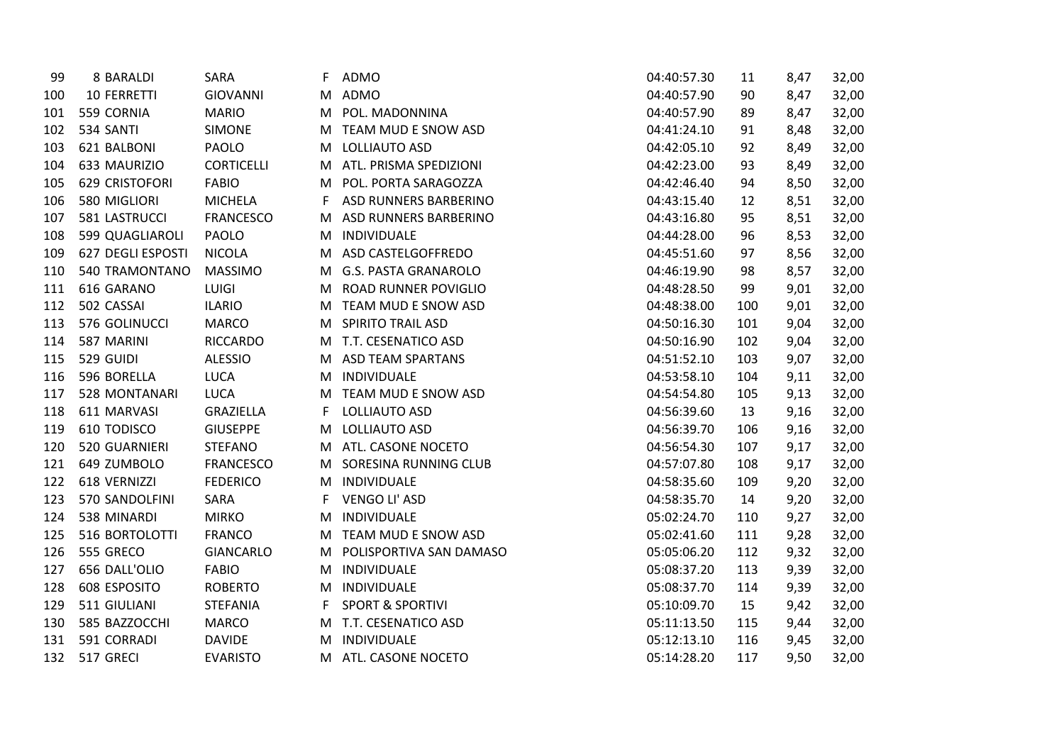| 99  | 8 BARALDI          | SARA              | F | <b>ADMO</b>                 | 04:40:57.30 | 11  | 8,47 | 32,00 |
|-----|--------------------|-------------------|---|-----------------------------|-------------|-----|------|-------|
| 100 | <b>10 FERRETTI</b> | <b>GIOVANNI</b>   | M | ADMO                        | 04:40:57.90 | 90  | 8,47 | 32,00 |
| 101 | 559 CORNIA         | <b>MARIO</b>      | M | POL. MADONNINA              | 04:40:57.90 | 89  | 8,47 | 32,00 |
| 102 | 534 SANTI          | <b>SIMONE</b>     | M | TEAM MUD E SNOW ASD         | 04:41:24.10 | 91  | 8,48 | 32,00 |
| 103 | 621 BALBONI        | PAOLO             | M | LOLLIAUTO ASD               | 04:42:05.10 | 92  | 8,49 | 32,00 |
| 104 | 633 MAURIZIO       | <b>CORTICELLI</b> | M | ATL. PRISMA SPEDIZIONI      | 04:42:23.00 | 93  | 8,49 | 32,00 |
| 105 | 629 CRISTOFORI     | <b>FABIO</b>      | M | POL. PORTA SARAGOZZA        | 04:42:46.40 | 94  | 8,50 | 32,00 |
| 106 | 580 MIGLIORI       | <b>MICHELA</b>    | F | ASD RUNNERS BARBERINO       | 04:43:15.40 | 12  | 8,51 | 32,00 |
| 107 | 581 LASTRUCCI      | <b>FRANCESCO</b>  | м | ASD RUNNERS BARBERINO       | 04:43:16.80 | 95  | 8,51 | 32,00 |
| 108 | 599 QUAGLIAROLI    | PAOLO             | M | INDIVIDUALE                 | 04:44:28.00 | 96  | 8,53 | 32,00 |
| 109 | 627 DEGLI ESPOSTI  | <b>NICOLA</b>     | M | ASD CASTELGOFFREDO          | 04:45:51.60 | 97  | 8,56 | 32,00 |
| 110 | 540 TRAMONTANO     | <b>MASSIMO</b>    | M | <b>G.S. PASTA GRANAROLO</b> | 04:46:19.90 | 98  | 8,57 | 32,00 |
| 111 | 616 GARANO         | <b>LUIGI</b>      | M | <b>ROAD RUNNER POVIGLIO</b> | 04:48:28.50 | 99  | 9,01 | 32,00 |
| 112 | 502 CASSAI         | <b>ILARIO</b>     | M | TEAM MUD E SNOW ASD         | 04:48:38.00 | 100 | 9,01 | 32,00 |
| 113 | 576 GOLINUCCI      | <b>MARCO</b>      | M | <b>SPIRITO TRAIL ASD</b>    | 04:50:16.30 | 101 | 9,04 | 32,00 |
| 114 | 587 MARINI         | <b>RICCARDO</b>   | M | T.T. CESENATICO ASD         | 04:50:16.90 | 102 | 9,04 | 32,00 |
| 115 | 529 GUIDI          | <b>ALESSIO</b>    | M | <b>ASD TEAM SPARTANS</b>    | 04:51:52.10 | 103 | 9,07 | 32,00 |
| 116 | 596 BORELLA        | LUCA              | M | INDIVIDUALE                 | 04:53:58.10 | 104 | 9,11 | 32,00 |
| 117 | 528 MONTANARI      | <b>LUCA</b>       | M | TEAM MUD E SNOW ASD         | 04:54:54.80 | 105 | 9,13 | 32,00 |
| 118 | 611 MARVASI        | GRAZIELLA         | F | LOLLIAUTO ASD               | 04:56:39.60 | 13  | 9,16 | 32,00 |
| 119 | 610 TODISCO        | <b>GIUSEPPE</b>   | M | LOLLIAUTO ASD               | 04:56:39.70 | 106 | 9,16 | 32,00 |
| 120 | 520 GUARNIERI      | <b>STEFANO</b>    | M | ATL. CASONE NOCETO          | 04:56:54.30 | 107 | 9,17 | 32,00 |
| 121 | 649 ZUMBOLO        | <b>FRANCESCO</b>  | M | SORESINA RUNNING CLUB       | 04:57:07.80 | 108 | 9,17 | 32,00 |
| 122 | 618 VERNIZZI       | <b>FEDERICO</b>   | M | INDIVIDUALE                 | 04:58:35.60 | 109 | 9,20 | 32,00 |
| 123 | 570 SANDOLFINI     | SARA              | F | VENGO LI' ASD               | 04:58:35.70 | 14  | 9,20 | 32,00 |
| 124 | 538 MINARDI        | <b>MIRKO</b>      | M | INDIVIDUALE                 | 05:02:24.70 | 110 | 9,27 | 32,00 |
| 125 | 516 BORTOLOTTI     | <b>FRANCO</b>     | M | TEAM MUD E SNOW ASD         | 05:02:41.60 | 111 | 9,28 | 32,00 |
| 126 | 555 GRECO          | <b>GIANCARLO</b>  | M | POLISPORTIVA SAN DAMASO     | 05:05:06.20 | 112 | 9,32 | 32,00 |
| 127 | 656 DALL'OLIO      | <b>FABIO</b>      | M | INDIVIDUALE                 | 05:08:37.20 | 113 | 9,39 | 32,00 |
| 128 | 608 ESPOSITO       | <b>ROBERTO</b>    | M | INDIVIDUALE                 | 05:08:37.70 | 114 | 9,39 | 32,00 |
| 129 | 511 GIULIANI       | <b>STEFANIA</b>   | F | <b>SPORT &amp; SPORTIVI</b> | 05:10:09.70 | 15  | 9,42 | 32,00 |
| 130 | 585 BAZZOCCHI      | <b>MARCO</b>      | M | T.T. CESENATICO ASD         | 05:11:13.50 | 115 | 9,44 | 32,00 |
| 131 | 591 CORRADI        | <b>DAVIDE</b>     | м | INDIVIDUALE                 | 05:12:13.10 | 116 | 9,45 | 32,00 |
| 132 | 517 GRECI          | <b>EVARISTO</b>   | M | ATL. CASONE NOCETO          | 05:14:28.20 | 117 | 9,50 | 32,00 |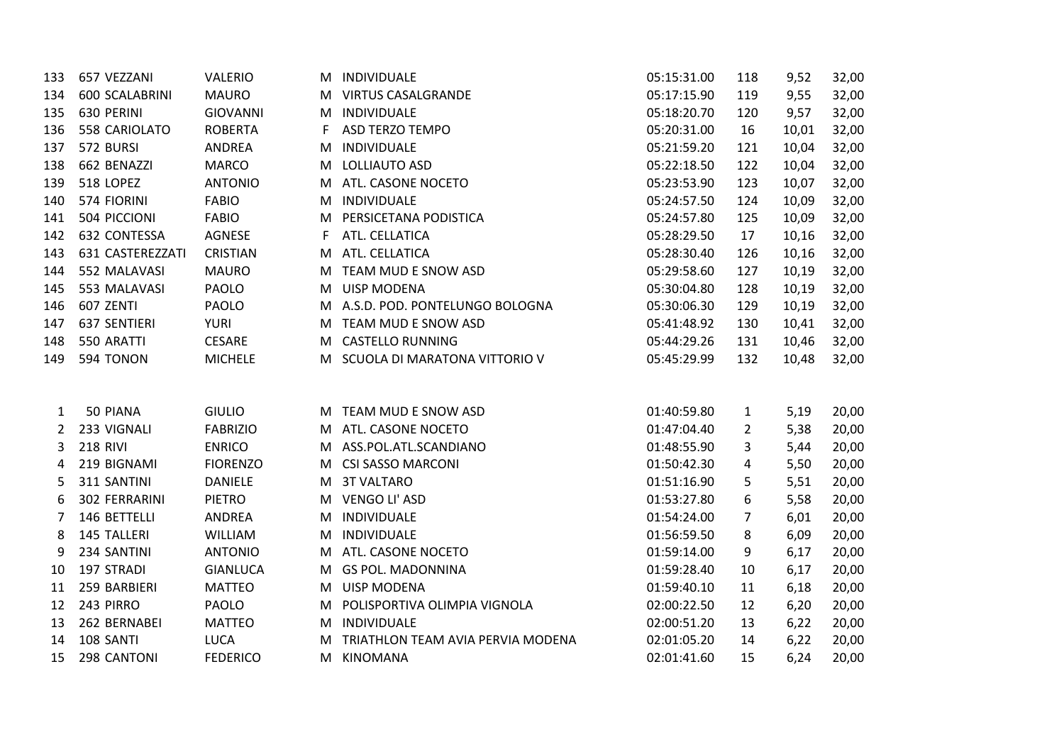| 133 | 657 VEZZANI      | <b>VALERIO</b>  |    | M INDIVIDUALE                     | 05:15:31.00 | 118 | 9,52  | 32,00 |
|-----|------------------|-----------------|----|-----------------------------------|-------------|-----|-------|-------|
| 134 | 600 SCALABRINI   | <b>MAURO</b>    |    | M VIRTUS CASALGRANDE              | 05:17:15.90 | 119 | 9,55  | 32,00 |
| 135 | 630 PERINI       | <b>GIOVANNI</b> | M  | INDIVIDUALE                       | 05:18:20.70 | 120 | 9,57  | 32,00 |
| 136 | 558 CARIOLATO    | <b>ROBERTA</b>  | F  | <b>ASD TERZO TEMPO</b>            | 05:20:31.00 | 16  | 10,01 | 32,00 |
| 137 | 572 BURSI        | ANDREA          | м  | INDIVIDUALE                       | 05:21:59.20 | 121 | 10,04 | 32,00 |
| 138 | 662 BENAZZI      | <b>MARCO</b>    | м  | LOLLIAUTO ASD                     | 05:22:18.50 | 122 | 10,04 | 32,00 |
| 139 | 518 LOPEZ        | <b>ANTONIO</b>  | M  | ATL. CASONE NOCETO                | 05:23:53.90 | 123 | 10,07 | 32,00 |
| 140 | 574 FIORINI      | <b>FABIO</b>    | M  | INDIVIDUALE                       | 05:24:57.50 | 124 | 10,09 | 32,00 |
| 141 | 504 PICCIONI     | <b>FABIO</b>    |    | M PERSICETANA PODISTICA           | 05:24:57.80 | 125 | 10,09 | 32,00 |
| 142 | 632 CONTESSA     | AGNESE          | F. | ATL. CELLATICA                    | 05:28:29.50 | 17  | 10,16 | 32,00 |
| 143 | 631 CASTEREZZATI | <b>CRISTIAN</b> |    | M ATL. CELLATICA                  | 05:28:30.40 | 126 | 10,16 | 32,00 |
| 144 | 552 MALAVASI     | <b>MAURO</b>    |    | M TEAM MUD E SNOW ASD             | 05:29:58.60 | 127 | 10,19 | 32,00 |
| 145 | 553 MALAVASI     | PAOLO           |    | M UISP MODENA                     | 05:30:04.80 | 128 | 10,19 | 32,00 |
| 146 | 607 ZENTI        | PAOLO           |    | M A.S.D. POD. PONTELUNGO BOLOGNA  | 05:30:06.30 | 129 | 10,19 | 32,00 |
| 147 | 637 SENTIERI     | <b>YURI</b>     | M  | TEAM MUD E SNOW ASD               | 05:41:48.92 | 130 | 10,41 | 32,00 |
| 148 | 550 ARATTI       | <b>CESARE</b>   | M  | <b>CASTELLO RUNNING</b>           | 05:44:29.26 | 131 | 10,46 | 32,00 |
| 149 | 594 TONON        | <b>MICHELE</b>  |    | M SCUOLA DI MARATONA VITTORIO V   | 05:45:29.99 | 132 | 10,48 | 32,00 |
|     |                  |                 |    |                                   |             |     |       |       |
| 1   | 50 PIANA         | <b>GIULIO</b>   |    | M TEAM MUD E SNOW ASD             | 01:40:59.80 | 1   | 5,19  | 20,00 |
| 2   | 233 VIGNALI      | <b>FABRIZIO</b> |    | M ATL. CASONE NOCETO              | 01:47:04.40 | 2   | 5,38  | 20,00 |
| 3   | <b>218 RIVI</b>  | <b>ENRICO</b>   |    | M ASS.POL.ATL.SCANDIANO           | 01:48:55.90 | 3   | 5,44  | 20,00 |
| 4   | 219 BIGNAMI      | <b>FIORENZO</b> |    | M CSI SASSO MARCONI               | 01:50:42.30 | 4   | 5,50  | 20,00 |
| 5   | 311 SANTINI      | <b>DANIELE</b>  |    | M 3T VALTARO                      | 01:51:16.90 | 5   | 5,51  | 20,00 |
| 6   | 302 FERRARINI    | <b>PIETRO</b>   | M  | VENGO LI' ASD                     | 01:53:27.80 | 6   | 5,58  | 20,00 |
| 7   | 146 BETTELLI     | <b>ANDREA</b>   | M  | INDIVIDUALE                       | 01:54:24.00 | 7   | 6,01  | 20,00 |
| 8   | 145 TALLERI      | <b>WILLIAM</b>  | M  | INDIVIDUALE                       | 01:56:59.50 | 8   | 6,09  | 20,00 |
| 9   | 234 SANTINI      | <b>ANTONIO</b>  | M  | ATL. CASONE NOCETO                | 01:59:14.00 | 9   | 6,17  | 20,00 |
| 10  | 197 STRADI       | <b>GIANLUCA</b> |    | M GS POL. MADONNINA               | 01:59:28.40 | 10  | 6,17  | 20,00 |
| 11  | 259 BARBIERI     | <b>MATTEO</b>   |    | M UISP MODENA                     | 01:59:40.10 | 11  | 6,18  | 20,00 |
| 12  | 243 PIRRO        | PAOLO           |    | M POLISPORTIVA OLIMPIA VIGNOLA    | 02:00:22.50 | 12  | 6,20  | 20,00 |
| 13  | 262 BERNABEI     | <b>MATTEO</b>   |    | M INDIVIDUALE                     | 02:00:51.20 | 13  | 6,22  | 20,00 |
| 14  | 108 SANTI        | <b>LUCA</b>     | м  | TRIATHLON TEAM AVIA PERVIA MODENA | 02:01:05.20 | 14  | 6,22  | 20,00 |
| 15  | 298 CANTONI      | <b>FEDERICO</b> | M  | <b>KINOMANA</b>                   | 02:01:41.60 | 15  | 6,24  | 20,00 |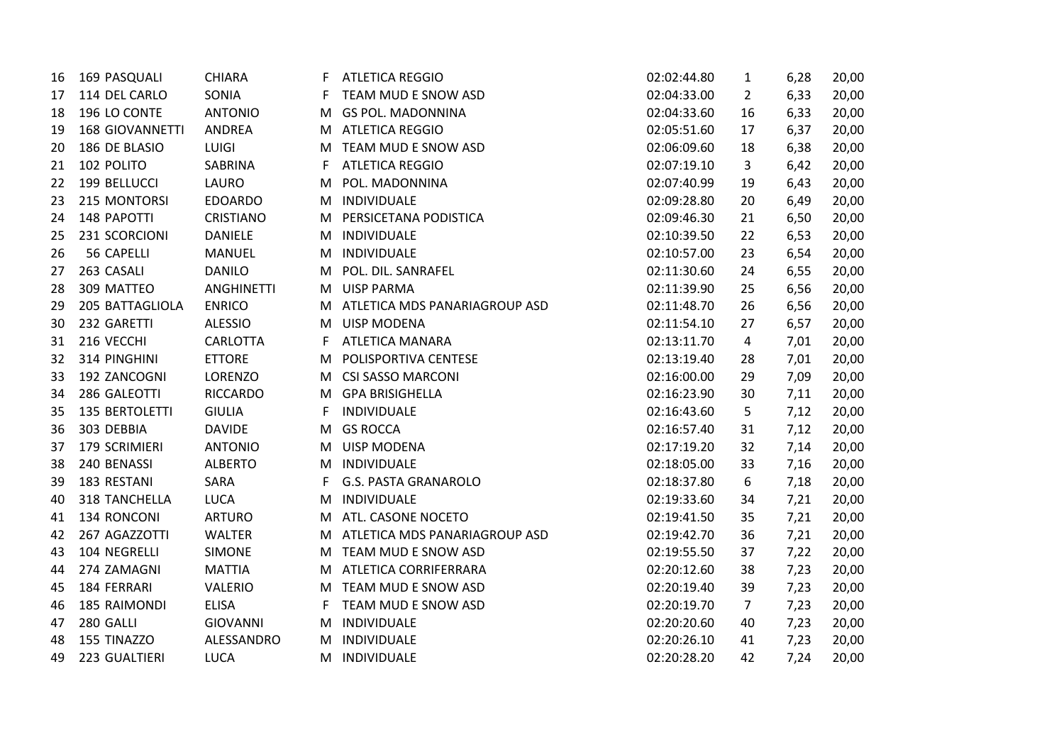| 16 | 169 PASQUALI           | <b>CHIARA</b>     | F. | <b>ATLETICA REGGIO</b>          | 02:02:44.80 | $\mathbf{1}$   | 6,28 | 20,00 |
|----|------------------------|-------------------|----|---------------------------------|-------------|----------------|------|-------|
| 17 | 114 DEL CARLO          | SONIA             | F  | TEAM MUD E SNOW ASD             | 02:04:33.00 | $\overline{2}$ | 6,33 | 20,00 |
| 18 | 196 LO CONTE           | <b>ANTONIO</b>    | M  | <b>GS POL. MADONNINA</b>        | 02:04:33.60 | 16             | 6,33 | 20,00 |
| 19 | <b>168 GIOVANNETTI</b> | ANDREA            |    | M ATLETICA REGGIO               | 02:05:51.60 | 17             | 6,37 | 20,00 |
| 20 | 186 DE BLASIO          | LUIGI             | M  | TEAM MUD E SNOW ASD             | 02:06:09.60 | 18             | 6,38 | 20,00 |
| 21 | 102 POLITO             | <b>SABRINA</b>    | F. | <b>ATLETICA REGGIO</b>          | 02:07:19.10 | 3              | 6,42 | 20,00 |
| 22 | 199 BELLUCCI           | LAURO             | м  | POL. MADONNINA                  | 02:07:40.99 | 19             | 6,43 | 20,00 |
| 23 | 215 MONTORSI           | <b>EDOARDO</b>    | M  | INDIVIDUALE                     | 02:09:28.80 | 20             | 6,49 | 20,00 |
| 24 | 148 PAPOTTI            | <b>CRISTIANO</b>  | M  | PERSICETANA PODISTICA           | 02:09:46.30 | 21             | 6,50 | 20,00 |
| 25 | 231 SCORCIONI          | <b>DANIELE</b>    |    | M INDIVIDUALE                   | 02:10:39.50 | 22             | 6,53 | 20,00 |
| 26 | 56 CAPELLI             | <b>MANUEL</b>     |    | M INDIVIDUALE                   | 02:10:57.00 | 23             | 6,54 | 20,00 |
| 27 | 263 CASALI             | <b>DANILO</b>     |    | M POL. DIL. SANRAFEL            | 02:11:30.60 | 24             | 6,55 | 20,00 |
| 28 | 309 MATTEO             | <b>ANGHINETTI</b> |    | M UISP PARMA                    | 02:11:39.90 | 25             | 6,56 | 20,00 |
| 29 | 205 BATTAGLIOLA        | <b>ENRICO</b>     |    | M ATLETICA MDS PANARIAGROUP ASD | 02:11:48.70 | 26             | 6,56 | 20,00 |
| 30 | 232 GARETTI            | <b>ALESSIO</b>    | M  | <b>UISP MODENA</b>              | 02:11:54.10 | 27             | 6,57 | 20,00 |
| 31 | 216 VECCHI             | CARLOTTA          | F. | <b>ATLETICA MANARA</b>          | 02:13:11.70 | 4              | 7,01 | 20,00 |
| 32 | 314 PINGHINI           | <b>ETTORE</b>     | м  | POLISPORTIVA CENTESE            | 02:13:19.40 | 28             | 7,01 | 20,00 |
| 33 | 192 ZANCOGNI           | LORENZO           | M  | <b>CSI SASSO MARCONI</b>        | 02:16:00.00 | 29             | 7,09 | 20,00 |
| 34 | 286 GALEOTTI           | <b>RICCARDO</b>   | M  | <b>GPA BRISIGHELLA</b>          | 02:16:23.90 | 30             | 7,11 | 20,00 |
| 35 | 135 BERTOLETTI         | <b>GIULIA</b>     | F. | INDIVIDUALE                     | 02:16:43.60 | 5              | 7,12 | 20,00 |
| 36 | 303 DEBBIA             | <b>DAVIDE</b>     | M  | <b>GS ROCCA</b>                 | 02:16:57.40 | 31             | 7,12 | 20,00 |
| 37 | 179 SCRIMIERI          | <b>ANTONIO</b>    |    | M UISP MODENA                   | 02:17:19.20 | 32             | 7,14 | 20,00 |
| 38 | 240 BENASSI            | <b>ALBERTO</b>    |    | M INDIVIDUALE                   | 02:18:05.00 | 33             | 7,16 | 20,00 |
| 39 | 183 RESTANI            | SARA              | F. | <b>G.S. PASTA GRANAROLO</b>     | 02:18:37.80 | 6              | 7,18 | 20,00 |
| 40 | 318 TANCHELLA          | LUCA              | M  | INDIVIDUALE                     | 02:19:33.60 | 34             | 7,21 | 20,00 |
| 41 | 134 RONCONI            | <b>ARTURO</b>     | M  | ATL. CASONE NOCETO              | 02:19:41.50 | 35             | 7,21 | 20,00 |
| 42 | 267 AGAZZOTTI          | <b>WALTER</b>     | M  | ATLETICA MDS PANARIAGROUP ASD   | 02:19:42.70 | 36             | 7,21 | 20,00 |
| 43 | 104 NEGRELLI           | <b>SIMONE</b>     | M  | TEAM MUD E SNOW ASD             | 02:19:55.50 | 37             | 7,22 | 20,00 |
| 44 | 274 ZAMAGNI            | <b>MATTIA</b>     |    | M ATLETICA CORRIFERRARA         | 02:20:12.60 | 38             | 7,23 | 20,00 |
| 45 | 184 FERRARI            | VALERIO           | M  | TEAM MUD E SNOW ASD             | 02:20:19.40 | 39             | 7,23 | 20,00 |
| 46 | 185 RAIMONDI           | <b>ELISA</b>      | F. | TEAM MUD E SNOW ASD             | 02:20:19.70 | $\overline{7}$ | 7,23 | 20,00 |
| 47 | 280 GALLI              | <b>GIOVANNI</b>   | M  | INDIVIDUALE                     | 02:20:20.60 | 40             | 7,23 | 20,00 |
| 48 | 155 TINAZZO            | ALESSANDRO        | м  | INDIVIDUALE                     | 02:20:26.10 | 41             | 7,23 | 20,00 |
| 49 | 223 GUALTIERI          | <b>LUCA</b>       |    | M INDIVIDUALE                   | 02:20:28.20 | 42             | 7,24 | 20,00 |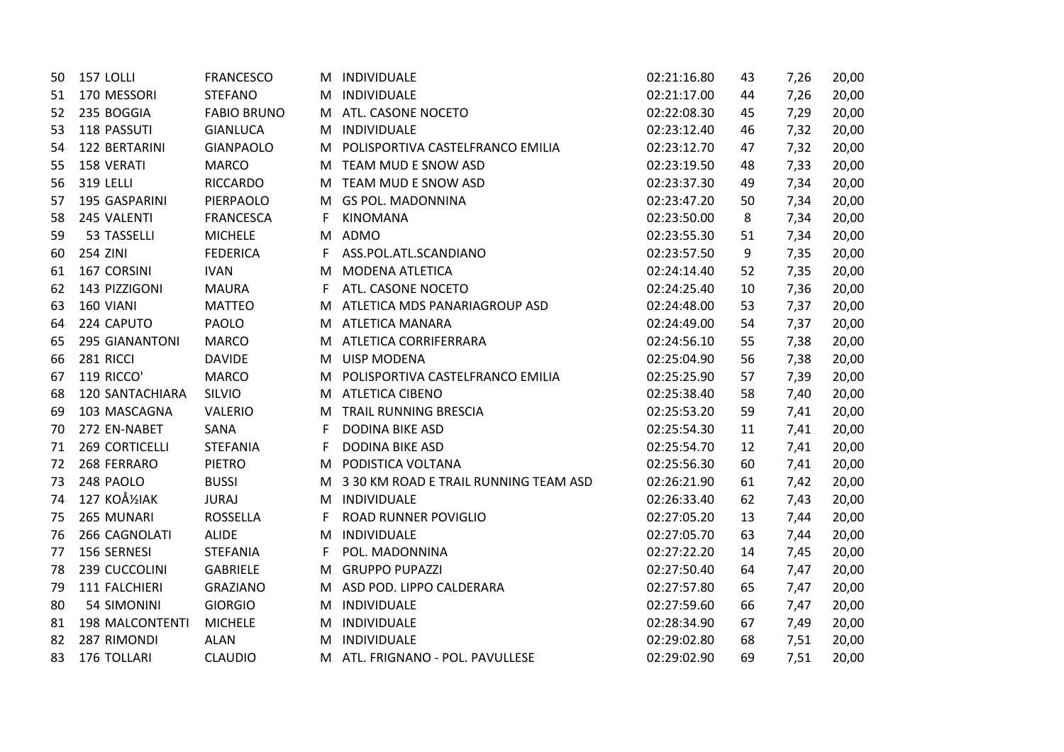| 50 | 157 LOLLI                 | <b>FRANCESCO</b>   |    | M INDIVIDUALE                         | 02:21:16.80 | 43 | 7,26 | 20,00 |
|----|---------------------------|--------------------|----|---------------------------------------|-------------|----|------|-------|
| 51 | 170 MESSORI               | <b>STEFANO</b>     | M. | INDIVIDUALE                           | 02:21:17.00 | 44 | 7,26 | 20,00 |
| 52 | 235 BOGGIA                | <b>FABIO BRUNO</b> | M. | ATL. CASONE NOCETO                    | 02:22:08.30 | 45 | 7,29 | 20,00 |
| 53 | 118 PASSUTI               | <b>GIANLUCA</b>    |    | M INDIVIDUALE                         | 02:23:12.40 | 46 | 7,32 | 20,00 |
| 54 | 122 BERTARINI             | <b>GIANPAOLO</b>   | M. | POLISPORTIVA CASTELFRANCO EMILIA      | 02:23:12.70 | 47 | 7,32 | 20,00 |
| 55 | 158 VERATI                | <b>MARCO</b>       | M  | TEAM MUD E SNOW ASD                   | 02:23:19.50 | 48 | 7,33 | 20,00 |
| 56 | <b>319 LELLI</b>          | <b>RICCARDO</b>    | M  | TEAM MUD E SNOW ASD                   | 02:23:37.30 | 49 | 7,34 | 20,00 |
| 57 | 195 GASPARINI             | PIERPAOLO          | M  | <b>GS POL. MADONNINA</b>              | 02:23:47.20 | 50 | 7,34 | 20,00 |
| 58 | 245 VALENTI               | <b>FRANCESCA</b>   | F. | <b>KINOMANA</b>                       | 02:23:50.00 | 8  | 7,34 | 20,00 |
| 59 | 53 TASSELLI               | <b>MICHELE</b>     |    | M ADMO                                | 02:23:55.30 | 51 | 7,34 | 20,00 |
| 60 | 254 ZINI                  | <b>FEDERICA</b>    |    | F ASS.POL.ATL.SCANDIANO               | 02:23:57.50 | 9  | 7,35 | 20,00 |
| 61 | 167 CORSINI               | <b>IVAN</b>        | M  | <b>MODENA ATLETICA</b>                | 02:24:14.40 | 52 | 7,35 | 20,00 |
| 62 | 143 PIZZIGONI             | <b>MAURA</b>       | F. | ATL. CASONE NOCETO                    | 02:24:25.40 | 10 | 7,36 | 20,00 |
| 63 | 160 VIANI                 | <b>MATTEO</b>      | M  | ATLETICA MDS PANARIAGROUP ASD         | 02:24:48.00 | 53 | 7,37 | 20,00 |
| 64 | 224 CAPUTO                | PAOLO              | M. | <b>ATLETICA MANARA</b>                | 02:24:49.00 | 54 | 7,37 | 20,00 |
| 65 | <b>295 GIANANTONI</b>     | <b>MARCO</b>       | M. | ATLETICA CORRIFERRARA                 | 02:24:56.10 | 55 | 7,38 | 20,00 |
| 66 | 281 RICCI                 | <b>DAVIDE</b>      | M  | <b>UISP MODENA</b>                    | 02:25:04.90 | 56 | 7,38 | 20,00 |
| 67 | 119 RICCO'                | <b>MARCO</b>       | M  | POLISPORTIVA CASTELFRANCO EMILIA      | 02:25:25.90 | 57 | 7,39 | 20,00 |
| 68 | <b>120 SANTACHIARA</b>    | SILVIO             | M. | <b>ATLETICA CIBENO</b>                | 02:25:38.40 | 58 | 7,40 | 20,00 |
| 69 | 103 MASCAGNA              | VALERIO            | M  | TRAIL RUNNING BRESCIA                 | 02:25:53.20 | 59 | 7,41 | 20,00 |
| 70 | 272 EN-NABET              | SANA               | F. | <b>DODINA BIKE ASD</b>                | 02:25:54.30 | 11 | 7,41 | 20,00 |
| 71 | <b>269 CORTICELLI</b>     | <b>STEFANIA</b>    | F. | <b>DODINA BIKE ASD</b>                | 02:25:54.70 | 12 | 7,41 | 20,00 |
| 72 | 268 FERRARO               | <b>PIETRO</b>      | M  | PODISTICA VOLTANA                     | 02:25:56.30 | 60 | 7,41 | 20,00 |
| 73 | 248 PAOLO                 | <b>BUSSI</b>       | M  | 3 30 KM ROAD E TRAIL RUNNING TEAM ASD | 02:26:21.90 | 61 | 7,42 | 20,00 |
| 74 | 127 KOÅ <sup>1</sup> 2IAK | <b>JURAJ</b>       | M  | INDIVIDUALE                           | 02:26:33.40 | 62 | 7,43 | 20,00 |
| 75 | 265 MUNARI                | <b>ROSSELLA</b>    | F. | <b>ROAD RUNNER POVIGLIO</b>           | 02:27:05.20 | 13 | 7,44 | 20,00 |
| 76 | 266 CAGNOLATI             | <b>ALIDE</b>       | M  | INDIVIDUALE                           | 02:27:05.70 | 63 | 7,44 | 20,00 |
| 77 | 156 SERNESI               | <b>STEFANIA</b>    | F. | POL. MADONNINA                        | 02:27:22.20 | 14 | 7,45 | 20,00 |
| 78 | 239 CUCCOLINI             | <b>GABRIELE</b>    | M  | <b>GRUPPO PUPAZZI</b>                 | 02:27:50.40 | 64 | 7,47 | 20,00 |
| 79 | 111 FALCHIERI             | <b>GRAZIANO</b>    |    | M ASD POD. LIPPO CALDERARA            | 02:27:57.80 | 65 | 7,47 | 20,00 |
| 80 | 54 SIMONINI               | <b>GIORGIO</b>     | M  | INDIVIDUALE                           | 02:27:59.60 | 66 | 7,47 | 20,00 |
| 81 | <b>198 MALCONTENTI</b>    | <b>MICHELE</b>     | M  | INDIVIDUALE                           | 02:28:34.90 | 67 | 7,49 | 20,00 |
| 82 | 287 RIMONDI               | <b>ALAN</b>        | M  | INDIVIDUALE                           | 02:29:02.80 | 68 | 7,51 | 20,00 |
| 83 | 176 TOLLARI               | <b>CLAUDIO</b>     |    | M ATL. FRIGNANO - POL. PAVULLESE      | 02:29:02.90 | 69 | 7,51 | 20,00 |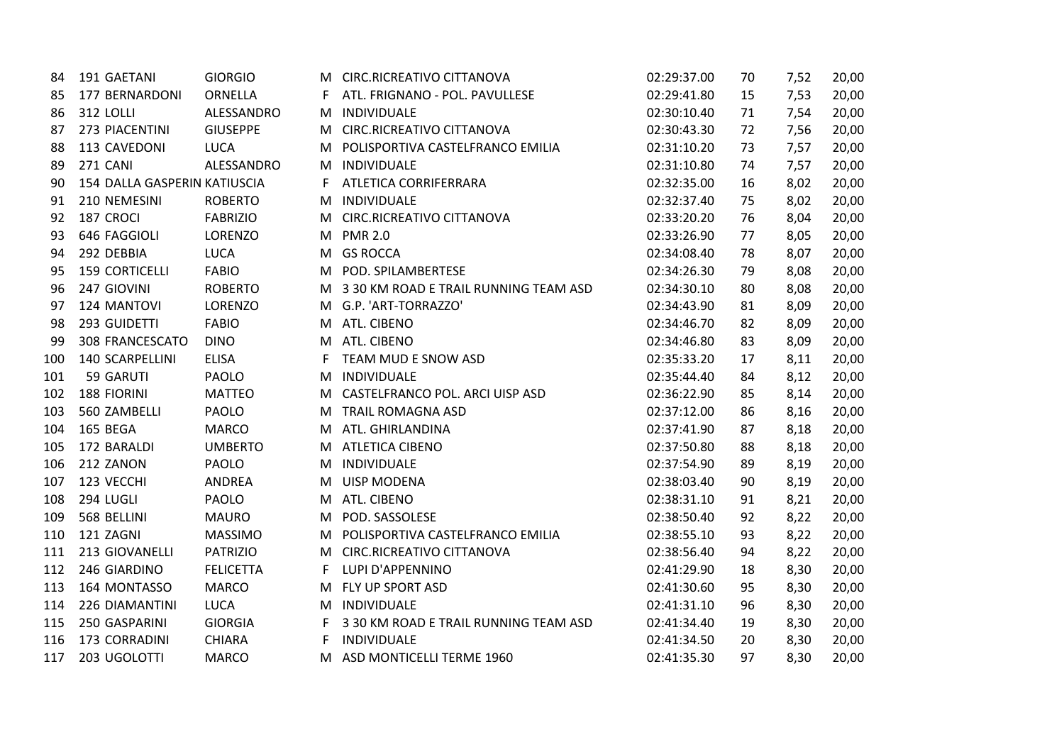| 84  | 191 GAETANI                  | <b>GIORGIO</b>   |    | <b>CIRC.RICREATIVO CITTANOVA</b>        | 02:29:37.00 | 70 | 7,52 | 20,00 |
|-----|------------------------------|------------------|----|-----------------------------------------|-------------|----|------|-------|
| 85  | 177 BERNARDONI               | ORNELLA          |    | ATL. FRIGNANO - POL. PAVULLESE          | 02:29:41.80 | 15 | 7,53 | 20,00 |
| 86  | 312 LOLLI                    | ALESSANDRO       | M  | <b>INDIVIDUALE</b>                      | 02:30:10.40 | 71 | 7,54 | 20,00 |
| 87  | 273 PIACENTINI               | <b>GIUSEPPE</b>  | M  | CIRC.RICREATIVO CITTANOVA               | 02:30:43.30 | 72 | 7,56 | 20,00 |
| 88  | 113 CAVEDONI                 | <b>LUCA</b>      | м  | POLISPORTIVA CASTELFRANCO EMILIA        | 02:31:10.20 | 73 | 7,57 | 20,00 |
| 89  | 271 CANI                     | ALESSANDRO       | M  | INDIVIDUALE                             | 02:31:10.80 | 74 | 7,57 | 20,00 |
| 90  | 154 DALLA GASPERIN KATIUSCIA |                  | F  | ATLETICA CORRIFERRARA                   | 02:32:35.00 | 16 | 8,02 | 20,00 |
| 91  | 210 NEMESINI                 | <b>ROBERTO</b>   | м  | INDIVIDUALE                             | 02:32:37.40 | 75 | 8,02 | 20,00 |
| 92  | 187 CROCI                    | <b>FABRIZIO</b>  | M  | <b>CIRC.RICREATIVO CITTANOVA</b>        | 02:33:20.20 | 76 | 8,04 | 20,00 |
| 93  | 646 FAGGIOLI                 | <b>LORENZO</b>   | M  | <b>PMR 2.0</b>                          | 02:33:26.90 | 77 | 8,05 | 20,00 |
| 94  | 292 DEBBIA                   | <b>LUCA</b>      | M  | <b>GS ROCCA</b>                         | 02:34:08.40 | 78 | 8,07 | 20,00 |
| 95  | <b>159 CORTICELLI</b>        | <b>FABIO</b>     | M  | POD. SPILAMBERTESE                      | 02:34:26.30 | 79 | 8,08 | 20,00 |
| 96  | 247 GIOVINI                  | <b>ROBERTO</b>   |    | M 3 30 KM ROAD E TRAIL RUNNING TEAM ASD | 02:34:30.10 | 80 | 8,08 | 20,00 |
| 97  | 124 MANTOVI                  | <b>LORENZO</b>   |    | M G.P. 'ART-TORRAZZO'                   | 02:34:43.90 | 81 | 8,09 | 20,00 |
| 98  | 293 GUIDETTI                 | <b>FABIO</b>     | M  | ATL. CIBENO                             | 02:34:46.70 | 82 | 8,09 | 20,00 |
| 99  | 308 FRANCESCATO              | <b>DINO</b>      | M  | ATL. CIBENO                             | 02:34:46.80 | 83 | 8,09 | 20,00 |
| 100 | 140 SCARPELLINI              | <b>ELISA</b>     | F. | TEAM MUD E SNOW ASD                     | 02:35:33.20 | 17 | 8,11 | 20,00 |
| 101 | 59 GARUTI                    | <b>PAOLO</b>     | M  | INDIVIDUALE                             | 02:35:44.40 | 84 | 8,12 | 20,00 |
| 102 | 188 FIORINI                  | <b>MATTEO</b>    | M  | CASTELFRANCO POL. ARCI UISP ASD         | 02:36:22.90 | 85 | 8,14 | 20,00 |
| 103 | 560 ZAMBELLI                 | PAOLO            | M  | <b>TRAIL ROMAGNA ASD</b>                | 02:37:12.00 | 86 | 8,16 | 20,00 |
| 104 | 165 BEGA                     | <b>MARCO</b>     | M  | ATL. GHIRLANDINA                        | 02:37:41.90 | 87 | 8,18 | 20,00 |
| 105 | 172 BARALDI                  | <b>UMBERTO</b>   | M  | <b>ATLETICA CIBENO</b>                  | 02:37:50.80 | 88 | 8,18 | 20,00 |
| 106 | 212 ZANON                    | <b>PAOLO</b>     | м  | INDIVIDUALE                             | 02:37:54.90 | 89 | 8,19 | 20,00 |
| 107 | 123 VECCHI                   | ANDREA           | м  | <b>UISP MODENA</b>                      | 02:38:03.40 | 90 | 8,19 | 20,00 |
| 108 | 294 LUGLI                    | <b>PAOLO</b>     | M  | ATL. CIBENO                             | 02:38:31.10 | 91 | 8,21 | 20,00 |
| 109 | 568 BELLINI                  | <b>MAURO</b>     | M  | POD. SASSOLESE                          | 02:38:50.40 | 92 | 8,22 | 20,00 |
| 110 | 121 ZAGNI                    | <b>MASSIMO</b>   | M  | POLISPORTIVA CASTELFRANCO EMILIA        | 02:38:55.10 | 93 | 8,22 | 20,00 |
| 111 | 213 GIOVANELLI               | <b>PATRIZIO</b>  | M  | <b>CIRC.RICREATIVO CITTANOVA</b>        | 02:38:56.40 | 94 | 8,22 | 20,00 |
| 112 | 246 GIARDINO                 | <b>FELICETTA</b> | F. | LUPI D'APPENNINO                        | 02:41:29.90 | 18 | 8,30 | 20,00 |
| 113 | 164 MONTASSO                 | <b>MARCO</b>     | M  | FLY UP SPORT ASD                        | 02:41:30.60 | 95 | 8,30 | 20,00 |
| 114 | 226 DIAMANTINI               | <b>LUCA</b>      | M  | INDIVIDUALE                             | 02:41:31.10 | 96 | 8,30 | 20,00 |
| 115 | 250 GASPARINI                | <b>GIORGIA</b>   | F. | 3 30 KM ROAD E TRAIL RUNNING TEAM ASD   | 02:41:34.40 | 19 | 8,30 | 20,00 |
| 116 | 173 CORRADINI                | <b>CHIARA</b>    | F. | INDIVIDUALE                             | 02:41:34.50 | 20 | 8,30 | 20,00 |
| 117 | 203 UGOLOTTI                 | <b>MARCO</b>     | M  | ASD MONTICELLI TERME 1960               | 02:41:35.30 | 97 | 8,30 | 20,00 |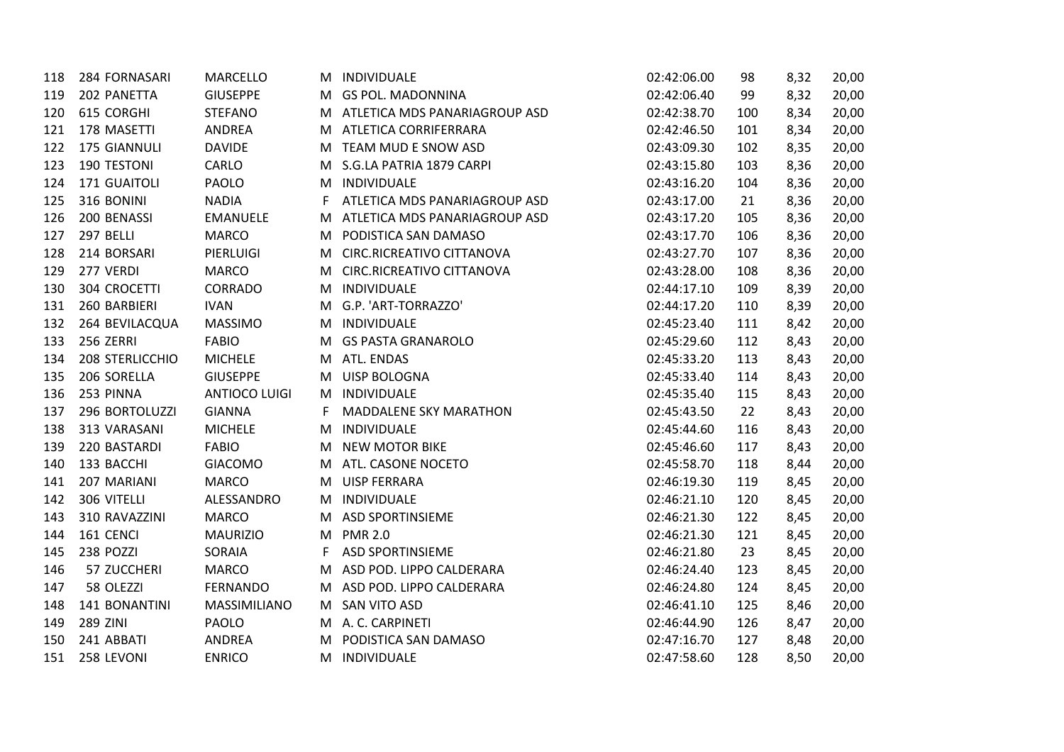| 118 | 284 FORNASARI   | <b>MARCELLO</b>      |    | M INDIVIDUALE                   | 02:42:06.00 | 98  | 8,32 | 20,00 |
|-----|-----------------|----------------------|----|---------------------------------|-------------|-----|------|-------|
| 119 | 202 PANETTA     | <b>GIUSEPPE</b>      |    | M GS POL. MADONNINA             | 02:42:06.40 | 99  | 8,32 | 20,00 |
| 120 | 615 CORGHI      | <b>STEFANO</b>       |    | M ATLETICA MDS PANARIAGROUP ASD | 02:42:38.70 | 100 | 8,34 | 20,00 |
| 121 | 178 MASETTI     | ANDREA               |    | M ATLETICA CORRIFERRARA         | 02:42:46.50 | 101 | 8,34 | 20,00 |
| 122 | 175 GIANNULI    | <b>DAVIDE</b>        |    | M TEAM MUD E SNOW ASD           | 02:43:09.30 | 102 | 8,35 | 20,00 |
| 123 | 190 TESTONI     | CARLO                |    | M S.G.LA PATRIA 1879 CARPI      | 02:43:15.80 | 103 | 8,36 | 20,00 |
| 124 | 171 GUAITOLI    | PAOLO                |    | M INDIVIDUALE                   | 02:43:16.20 | 104 | 8,36 | 20,00 |
| 125 | 316 BONINI      | <b>NADIA</b>         | F  | ATLETICA MDS PANARIAGROUP ASD   | 02:43:17.00 | 21  | 8,36 | 20,00 |
| 126 | 200 BENASSI     | <b>EMANUELE</b>      |    | M ATLETICA MDS PANARIAGROUP ASD | 02:43:17.20 | 105 | 8,36 | 20,00 |
| 127 | 297 BELLI       | <b>MARCO</b>         |    | M PODISTICA SAN DAMASO          | 02:43:17.70 | 106 | 8,36 | 20,00 |
| 128 | 214 BORSARI     | PIERLUIGI            |    | M CIRC.RICREATIVO CITTANOVA     | 02:43:27.70 | 107 | 8,36 | 20,00 |
| 129 | 277 VERDI       | <b>MARCO</b>         |    | M CIRC.RICREATIVO CITTANOVA     | 02:43:28.00 | 108 | 8,36 | 20,00 |
| 130 | 304 CROCETTI    | CORRADO              |    | M INDIVIDUALE                   | 02:44:17.10 | 109 | 8,39 | 20,00 |
| 131 | 260 BARBIERI    | <b>IVAN</b>          |    | M G.P. 'ART-TORRAZZO'           | 02:44:17.20 | 110 | 8,39 | 20,00 |
| 132 | 264 BEVILACQUA  | <b>MASSIMO</b>       |    | M INDIVIDUALE                   | 02:45:23.40 | 111 | 8,42 | 20,00 |
| 133 | 256 ZERRI       | <b>FABIO</b>         | M  | <b>GS PASTA GRANAROLO</b>       | 02:45:29.60 | 112 | 8,43 | 20,00 |
| 134 | 208 STERLICCHIO | <b>MICHELE</b>       |    | M ATL. ENDAS                    | 02:45:33.20 | 113 | 8,43 | 20,00 |
| 135 | 206 SORELLA     | <b>GIUSEPPE</b>      |    | M UISP BOLOGNA                  | 02:45:33.40 | 114 | 8,43 | 20,00 |
| 136 | 253 PINNA       | <b>ANTIOCO LUIGI</b> |    | M INDIVIDUALE                   | 02:45:35.40 | 115 | 8,43 | 20,00 |
| 137 | 296 BORTOLUZZI  | <b>GIANNA</b>        | F. | <b>MADDALENE SKY MARATHON</b>   | 02:45:43.50 | 22  | 8,43 | 20,00 |
| 138 | 313 VARASANI    | <b>MICHELE</b>       |    | M INDIVIDUALE                   | 02:45:44.60 | 116 | 8,43 | 20,00 |
| 139 | 220 BASTARDI    | <b>FABIO</b>         |    | M NEW MOTOR BIKE                | 02:45:46.60 | 117 | 8,43 | 20,00 |
| 140 | 133 BACCHI      | <b>GIACOMO</b>       |    | M ATL. CASONE NOCETO            | 02:45:58.70 | 118 | 8,44 | 20,00 |
| 141 | 207 MARIANI     | <b>MARCO</b>         |    | M UISP FERRARA                  | 02:46:19.30 | 119 | 8,45 | 20,00 |
| 142 | 306 VITELLI     | ALESSANDRO           |    | M INDIVIDUALE                   | 02:46:21.10 | 120 | 8,45 | 20,00 |
| 143 | 310 RAVAZZINI   | <b>MARCO</b>         | M  | <b>ASD SPORTINSIEME</b>         | 02:46:21.30 | 122 | 8,45 | 20,00 |
| 144 | 161 CENCI       | <b>MAURIZIO</b>      |    | M PMR 2.0                       | 02:46:21.30 | 121 | 8,45 | 20,00 |
| 145 | 238 POZZI       | SORAIA               | F. | <b>ASD SPORTINSIEME</b>         | 02:46:21.80 | 23  | 8,45 | 20,00 |
| 146 | 57 ZUCCHERI     | <b>MARCO</b>         |    | M ASD POD. LIPPO CALDERARA      | 02:46:24.40 | 123 | 8,45 | 20,00 |
| 147 | 58 OLEZZI       | <b>FERNANDO</b>      |    | M ASD POD. LIPPO CALDERARA      | 02:46:24.80 | 124 | 8,45 | 20,00 |
| 148 | 141 BONANTINI   | MASSIMILIANO         |    | M SAN VITO ASD                  | 02:46:41.10 | 125 | 8,46 | 20,00 |
| 149 | 289 ZINI        | PAOLO                |    | M A. C. CARPINETI               | 02:46:44.90 | 126 | 8,47 | 20,00 |
| 150 | 241 ABBATI      | ANDREA               |    | M PODISTICA SAN DAMASO          | 02:47:16.70 | 127 | 8,48 | 20,00 |
| 151 | 258 LEVONI      | <b>ENRICO</b>        |    | M INDIVIDUALE                   | 02:47:58.60 | 128 | 8,50 | 20,00 |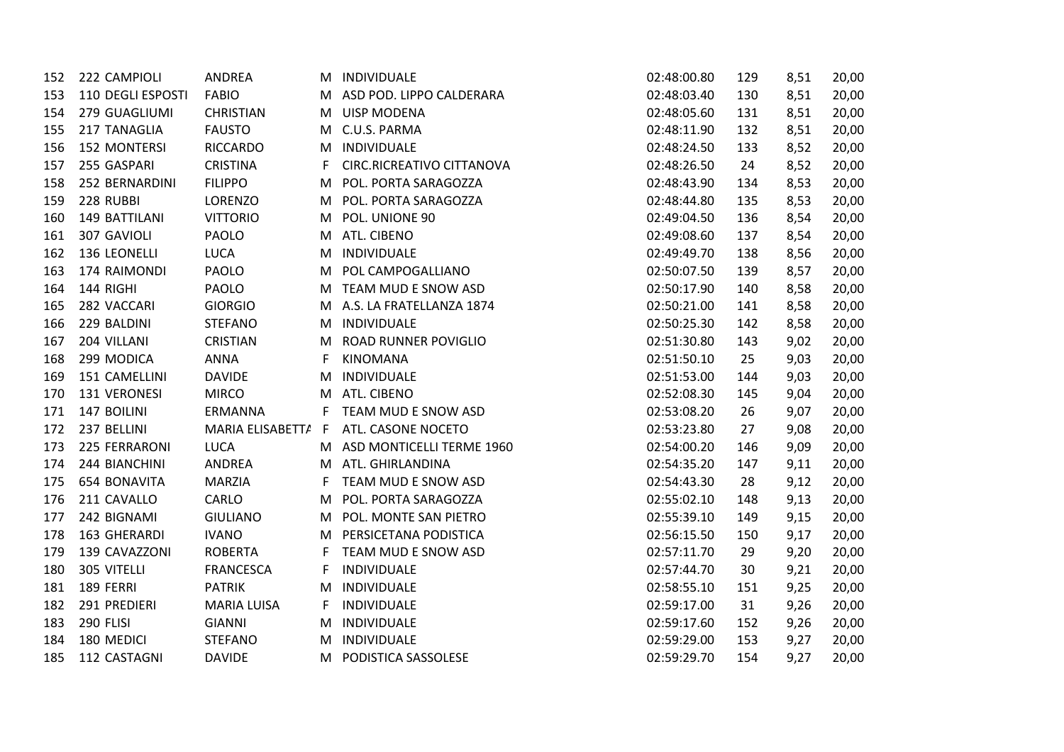| 152 | 222 CAMPIOLI        | ANDREA             | M  | INDIVIDUALE                 | 02:48:00.80 | 129 | 8,51 | 20,00 |
|-----|---------------------|--------------------|----|-----------------------------|-------------|-----|------|-------|
| 153 | 110 DEGLI ESPOSTI   | <b>FABIO</b>       |    | M ASD POD. LIPPO CALDERARA  | 02:48:03.40 | 130 | 8,51 | 20,00 |
| 154 | 279 GUAGLIUMI       | <b>CHRISTIAN</b>   |    | M UISP MODENA               | 02:48:05.60 | 131 | 8,51 | 20,00 |
| 155 | 217 TANAGLIA        | <b>FAUSTO</b>      |    | M C.U.S. PARMA              | 02:48:11.90 | 132 | 8,51 | 20,00 |
| 156 | <b>152 MONTERSI</b> | <b>RICCARDO</b>    |    | M INDIVIDUALE               | 02:48:24.50 | 133 | 8,52 | 20,00 |
| 157 | 255 GASPARI         | <b>CRISTINA</b>    | F. | CIRC.RICREATIVO CITTANOVA   | 02:48:26.50 | 24  | 8,52 | 20,00 |
| 158 | 252 BERNARDINI      | <b>FILIPPO</b>     | M  | POL. PORTA SARAGOZZA        | 02:48:43.90 | 134 | 8,53 | 20,00 |
| 159 | 228 RUBBI           | LORENZO            | M  | POL. PORTA SARAGOZZA        | 02:48:44.80 | 135 | 8,53 | 20,00 |
| 160 | 149 BATTILANI       | <b>VITTORIO</b>    | M  | POL. UNIONE 90              | 02:49:04.50 | 136 | 8,54 | 20,00 |
| 161 | 307 GAVIOLI         | PAOLO              | M  | ATL. CIBENO                 | 02:49:08.60 | 137 | 8,54 | 20,00 |
| 162 | 136 LEONELLI        | <b>LUCA</b>        | M  | INDIVIDUALE                 | 02:49:49.70 | 138 | 8,56 | 20,00 |
| 163 | 174 RAIMONDI        | PAOLO              |    | M POL CAMPOGALLIANO         | 02:50:07.50 | 139 | 8,57 | 20,00 |
| 164 | 144 RIGHI           | PAOLO              |    | M TEAM MUD E SNOW ASD       | 02:50:17.90 | 140 | 8,58 | 20,00 |
| 165 | 282 VACCARI         | <b>GIORGIO</b>     |    | M A.S. LA FRATELLANZA 1874  | 02:50:21.00 | 141 | 8,58 | 20,00 |
| 166 | 229 BALDINI         | <b>STEFANO</b>     | M  | INDIVIDUALE                 | 02:50:25.30 | 142 | 8,58 | 20,00 |
| 167 | 204 VILLANI         | <b>CRISTIAN</b>    | м  | <b>ROAD RUNNER POVIGLIO</b> | 02:51:30.80 | 143 | 9,02 | 20,00 |
| 168 | 299 MODICA          | ANNA               | F  | <b>KINOMANA</b>             | 02:51:50.10 | 25  | 9,03 | 20,00 |
| 169 | 151 CAMELLINI       | <b>DAVIDE</b>      | M  | INDIVIDUALE                 | 02:51:53.00 | 144 | 9,03 | 20,00 |
| 170 | 131 VERONESI        | <b>MIRCO</b>       | M  | ATL. CIBENO                 | 02:52:08.30 | 145 | 9,04 | 20,00 |
| 171 | 147 BOILINI         | ERMANNA            | F. | TEAM MUD E SNOW ASD         | 02:53:08.20 | 26  | 9,07 | 20,00 |
| 172 | 237 BELLINI         | MARIA ELISABETT/ F |    | ATL. CASONE NOCETO          | 02:53:23.80 | 27  | 9,08 | 20,00 |
| 173 | 225 FERRARONI       | <b>LUCA</b>        |    | M ASD MONTICELLI TERME 1960 | 02:54:00.20 | 146 | 9,09 | 20,00 |
| 174 | 244 BIANCHINI       | ANDREA             |    | M ATL. GHIRLANDINA          | 02:54:35.20 | 147 | 9,11 | 20,00 |
| 175 | 654 BONAVITA        | <b>MARZIA</b>      | F. | TEAM MUD E SNOW ASD         | 02:54:43.30 | 28  | 9,12 | 20,00 |
| 176 | 211 CAVALLO         | CARLO              | M  | POL. PORTA SARAGOZZA        | 02:55:02.10 | 148 | 9,13 | 20,00 |
| 177 | 242 BIGNAMI         | <b>GIULIANO</b>    | M  | POL. MONTE SAN PIETRO       | 02:55:39.10 | 149 | 9,15 | 20,00 |
| 178 | 163 GHERARDI        | <b>IVANO</b>       | M  | PERSICETANA PODISTICA       | 02:56:15.50 | 150 | 9,17 | 20,00 |
| 179 | 139 CAVAZZONI       | <b>ROBERTA</b>     | F. | TEAM MUD E SNOW ASD         | 02:57:11.70 | 29  | 9,20 | 20,00 |
| 180 | 305 VITELLI         | <b>FRANCESCA</b>   | F. | INDIVIDUALE                 | 02:57:44.70 | 30  | 9,21 | 20,00 |
| 181 | 189 FERRI           | <b>PATRIK</b>      | М  | INDIVIDUALE                 | 02:58:55.10 | 151 | 9,25 | 20,00 |
| 182 | 291 PREDIERI        | <b>MARIA LUISA</b> | F  | INDIVIDUALE                 | 02:59:17.00 | 31  | 9,26 | 20,00 |
| 183 | 290 FLISI           | <b>GIANNI</b>      | M  | INDIVIDUALE                 | 02:59:17.60 | 152 | 9,26 | 20,00 |
| 184 | 180 MEDICI          | <b>STEFANO</b>     | M  | INDIVIDUALE                 | 02:59:29.00 | 153 | 9,27 | 20,00 |
| 185 | 112 CASTAGNI        | <b>DAVIDE</b>      | M  | PODISTICA SASSOLESE         | 02:59:29.70 | 154 | 9,27 | 20,00 |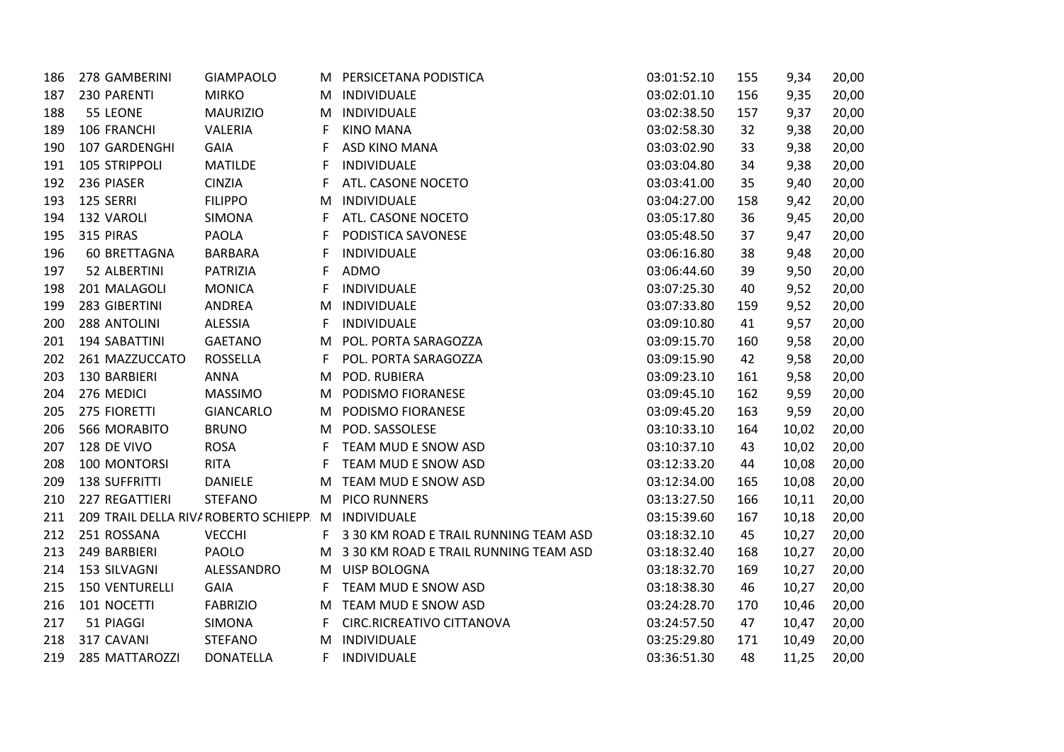| 186 | 278 GAMBERINI                                      | <b>GIAMPAOLO</b> |    | M PERSICETANA PODISTICA                 | 03:01:52.10 | 155 | 9,34  | 20,00 |
|-----|----------------------------------------------------|------------------|----|-----------------------------------------|-------------|-----|-------|-------|
| 187 | 230 PARENTI                                        | <b>MIRKO</b>     | M  | INDIVIDUALE                             | 03:02:01.10 | 156 | 9,35  | 20,00 |
| 188 | 55 LEONE                                           | <b>MAURIZIO</b>  |    | M INDIVIDUALE                           | 03:02:38.50 | 157 | 9,37  | 20,00 |
| 189 | 106 FRANCHI                                        | VALERIA          | F  | <b>KINO MANA</b>                        | 03:02:58.30 | 32  | 9,38  | 20,00 |
| 190 | 107 GARDENGHI                                      | <b>GAIA</b>      | F  | ASD KINO MANA                           | 03:03:02.90 | 33  | 9,38  | 20,00 |
| 191 | 105 STRIPPOLI                                      | <b>MATILDE</b>   | F  | INDIVIDUALE                             | 03:03:04.80 | 34  | 9,38  | 20,00 |
| 192 | 236 PIASER                                         | <b>CINZIA</b>    | F  | ATL. CASONE NOCETO                      | 03:03:41.00 | 35  | 9,40  | 20,00 |
| 193 | 125 SERRI                                          | <b>FILIPPO</b>   | M  | INDIVIDUALE                             | 03:04:27.00 | 158 | 9,42  | 20,00 |
| 194 | 132 VAROLI                                         | <b>SIMONA</b>    | F  | ATL. CASONE NOCETO                      | 03:05:17.80 | 36  | 9,45  | 20,00 |
| 195 | 315 PIRAS                                          | <b>PAOLA</b>     | F  | PODISTICA SAVONESE                      | 03:05:48.50 | 37  | 9,47  | 20,00 |
| 196 | 60 BRETTAGNA                                       | <b>BARBARA</b>   | F  | INDIVIDUALE                             | 03:06:16.80 | 38  | 9,48  | 20,00 |
| 197 | 52 ALBERTINI                                       | <b>PATRIZIA</b>  | F  | ADMO                                    | 03:06:44.60 | 39  | 9,50  | 20,00 |
| 198 | 201 MALAGOLI                                       | <b>MONICA</b>    | F  | <b>INDIVIDUALE</b>                      | 03:07:25.30 | 40  | 9,52  | 20,00 |
| 199 | 283 GIBERTINI                                      | ANDREA           | M  | INDIVIDUALE                             | 03:07:33.80 | 159 | 9,52  | 20,00 |
| 200 | 288 ANTOLINI                                       | <b>ALESSIA</b>   | F  | INDIVIDUALE                             | 03:09:10.80 | 41  | 9,57  | 20,00 |
| 201 | 194 SABATTINI                                      | <b>GAETANO</b>   | M  | POL. PORTA SARAGOZZA                    | 03:09:15.70 | 160 | 9,58  | 20,00 |
| 202 | 261 MAZZUCCATO                                     | <b>ROSSELLA</b>  | F  | POL. PORTA SARAGOZZA                    | 03:09:15.90 | 42  | 9,58  | 20,00 |
| 203 | 130 BARBIERI                                       | ANNA             | M  | POD. RUBIERA                            | 03:09:23.10 | 161 | 9,58  | 20,00 |
| 204 | 276 MEDICI                                         | <b>MASSIMO</b>   | M  | PODISMO FIORANESE                       | 03:09:45.10 | 162 | 9,59  | 20,00 |
| 205 | 275 FIORETTI                                       | <b>GIANCARLO</b> | M  | PODISMO FIORANESE                       | 03:09:45.20 | 163 | 9,59  | 20,00 |
| 206 | 566 MORABITO                                       | <b>BRUNO</b>     |    | M POD. SASSOLESE                        | 03:10:33.10 | 164 | 10,02 | 20,00 |
| 207 | 128 DE VIVO                                        | <b>ROSA</b>      | F  | TEAM MUD E SNOW ASD                     | 03:10:37.10 | 43  | 10,02 | 20,00 |
| 208 | 100 MONTORSI                                       | <b>RITA</b>      | F  | TEAM MUD E SNOW ASD                     | 03:12:33.20 | 44  | 10,08 | 20,00 |
| 209 | <b>138 SUFFRITTI</b>                               | <b>DANIELE</b>   |    | M TEAM MUD E SNOW ASD                   | 03:12:34.00 | 165 | 10,08 | 20,00 |
| 210 | 227 REGATTIERI                                     | <b>STEFANO</b>   | M  | <b>PICO RUNNERS</b>                     | 03:13:27.50 | 166 | 10,11 | 20,00 |
| 211 | 209 TRAIL DELLA RIV/ ROBERTO SCHIEPP M INDIVIDUALE |                  |    |                                         | 03:15:39.60 | 167 | 10,18 | 20,00 |
| 212 | 251 ROSSANA                                        | <b>VECCHI</b>    | F  | 3 30 KM ROAD E TRAIL RUNNING TEAM ASD   | 03:18:32.10 | 45  | 10,27 | 20,00 |
| 213 | 249 BARBIERI                                       | PAOLO            |    | M 3 30 KM ROAD E TRAIL RUNNING TEAM ASD | 03:18:32.40 | 168 | 10,27 | 20,00 |
| 214 | 153 SILVAGNI                                       | ALESSANDRO       |    | M UISP BOLOGNA                          | 03:18:32.70 | 169 | 10,27 | 20,00 |
| 215 | <b>150 VENTURELLI</b>                              | <b>GAIA</b>      | F. | TEAM MUD E SNOW ASD                     | 03:18:38.30 | 46  | 10,27 | 20,00 |
| 216 | 101 NOCETTI                                        | <b>FABRIZIO</b>  |    | M TEAM MUD E SNOW ASD                   | 03:24:28.70 | 170 | 10,46 | 20,00 |
| 217 | 51 PIAGGI                                          | SIMONA           | F  | CIRC.RICREATIVO CITTANOVA               | 03:24:57.50 | 47  | 10,47 | 20,00 |
| 218 | 317 CAVANI                                         | <b>STEFANO</b>   |    | M INDIVIDUALE                           | 03:25:29.80 | 171 | 10,49 | 20,00 |
| 219 | 285 MATTAROZZI                                     | <b>DONATELLA</b> | F. | INDIVIDUALE                             | 03:36:51.30 | 48  | 11,25 | 20,00 |